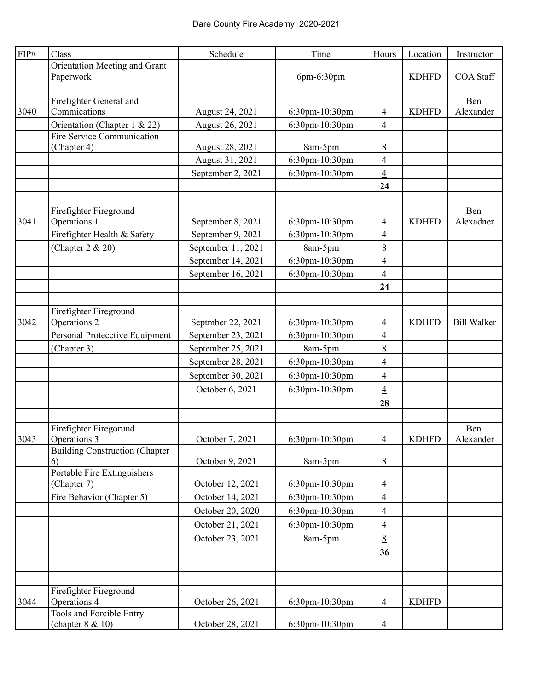| ${\rm FIP}\#$ | Class                                   | Schedule           | Time           | Hours                    | Location     | Instructor         |
|---------------|-----------------------------------------|--------------------|----------------|--------------------------|--------------|--------------------|
|               | Orientation Meeting and Grant           |                    |                |                          |              |                    |
|               | Paperwork                               |                    | 6pm-6:30pm     |                          | <b>KDHFD</b> | <b>COA Staff</b>   |
|               |                                         |                    |                |                          |              |                    |
| 3040          | Firefighter General and<br>Commications | August 24, 2021    | 6:30pm-10:30pm | 4                        | <b>KDHFD</b> | Ben<br>Alexander   |
|               | Orientation (Chapter 1 & 22)            | August 26, 2021    | 6:30pm-10:30pm | $\overline{4}$           |              |                    |
|               | Fire Service Communication              |                    |                |                          |              |                    |
|               | (Chapter 4)                             | August 28, 2021    | 8am-5pm        | 8                        |              |                    |
|               |                                         | August 31, 2021    | 6:30pm-10:30pm | $\overline{\mathcal{A}}$ |              |                    |
|               |                                         | September 2, 2021  | 6:30pm-10:30pm | $\overline{4}$           |              |                    |
|               |                                         |                    |                | 24                       |              |                    |
|               |                                         |                    |                |                          |              |                    |
|               | Firefighter Fireground                  |                    |                |                          |              | Ben                |
| 3041          | Operations 1                            | September 8, 2021  | 6:30pm-10:30pm | $\overline{4}$           | <b>KDHFD</b> | Alexadner          |
|               | Firefighter Health & Safety             | September 9, 2021  | 6:30pm-10:30pm | $\overline{4}$           |              |                    |
|               | (Chapter 2 & 20)                        | September 11, 2021 | 8am-5pm        | $8\,$                    |              |                    |
|               |                                         | September 14, 2021 | 6:30pm-10:30pm | $\overline{\mathcal{L}}$ |              |                    |
|               |                                         | September 16, 2021 | 6:30pm-10:30pm | $\overline{4}$           |              |                    |
|               |                                         |                    |                | 24                       |              |                    |
|               |                                         |                    |                |                          |              |                    |
|               | Firefighter Fireground                  |                    |                |                          |              |                    |
| 3042          | Operations 2                            | Septmber 22, 2021  | 6:30pm-10:30pm | 4                        | <b>KDHFD</b> | <b>Bill Walker</b> |
|               | Personal Protecctive Equipment          | September 23, 2021 | 6:30pm-10:30pm | $\overline{\mathcal{A}}$ |              |                    |
|               | (Chapter 3)                             | September 25, 2021 | 8am-5pm        | 8                        |              |                    |
|               |                                         | September 28, 2021 | 6:30pm-10:30pm | $\overline{\mathcal{A}}$ |              |                    |
|               |                                         | September 30, 2021 | 6:30pm-10:30pm | $\overline{\mathcal{L}}$ |              |                    |
|               |                                         | October 6, 2021    | 6:30pm-10:30pm | $\overline{4}$           |              |                    |
|               |                                         |                    |                | 28                       |              |                    |
|               |                                         |                    |                |                          |              |                    |
|               | Firefighter Firegorund                  |                    |                |                          |              | Ben                |
| 3043          | Operations 3                            | October 7, 2021    | 6:30pm-10:30pm | $\overline{4}$           | <b>KDHFD</b> | Alexander          |
|               | <b>Building Construction (Chapter</b>   |                    |                |                          |              |                    |
|               | 6)<br>Portable Fire Extinguishers       | October 9, 2021    | 8am-5pm        | 8                        |              |                    |
|               | (Chapter 7)                             | October 12, 2021   | 6:30pm-10:30pm | $\overline{4}$           |              |                    |
|               | Fire Behavior (Chapter 5)               | October 14, 2021   | 6:30pm-10:30pm | $\overline{4}$           |              |                    |
|               |                                         | October 20, 2020   | 6:30pm-10:30pm | 4                        |              |                    |
|               |                                         | October 21, 2021   | 6:30pm-10:30pm | $\overline{\mathcal{A}}$ |              |                    |
|               |                                         | October 23, 2021   | 8am-5pm        | 8                        |              |                    |
|               |                                         |                    |                | 36                       |              |                    |
|               |                                         |                    |                |                          |              |                    |
|               |                                         |                    |                |                          |              |                    |
|               | Firefighter Fireground                  |                    |                |                          |              |                    |
| 3044          | Operations 4                            | October 26, 2021   | 6:30pm-10:30pm | 4                        | <b>KDHFD</b> |                    |
|               | Tools and Forcible Entry                |                    |                |                          |              |                    |
|               | (chapter $8 & 10$ )                     | October 28, 2021   | 6:30pm-10:30pm | 4                        |              |                    |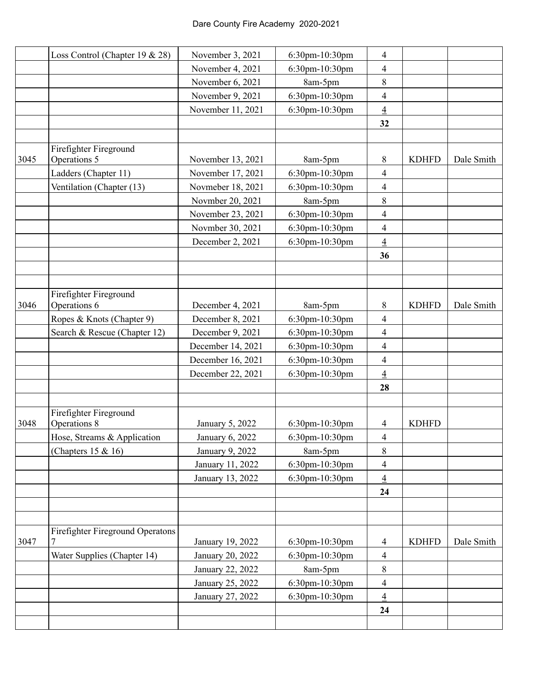|      | Loss Control (Chapter 19 & 28)          | November 3, 2021  | 6:30pm-10:30pm | $\overline{4}$           |              |            |
|------|-----------------------------------------|-------------------|----------------|--------------------------|--------------|------------|
|      |                                         | November 4, 2021  | 6:30pm-10:30pm | $\overline{4}$           |              |            |
|      |                                         | November 6, 2021  | 8am-5pm        | 8                        |              |            |
|      |                                         | November 9, 2021  | 6:30pm-10:30pm | 4                        |              |            |
|      |                                         | November 11, 2021 | 6:30pm-10:30pm | $\overline{4}$           |              |            |
|      |                                         |                   |                | 32                       |              |            |
|      |                                         |                   |                |                          |              |            |
|      | Firefighter Fireground                  |                   |                |                          |              |            |
| 3045 | Operations 5                            | November 13, 2021 | 8am-5pm        | 8                        | <b>KDHFD</b> | Dale Smith |
|      | Ladders (Chapter 11)                    | November 17, 2021 | 6:30pm-10:30pm | $\overline{\mathcal{A}}$ |              |            |
|      | Ventilation (Chapter (13)               | Novmeber 18, 2021 | 6:30pm-10:30pm | $\overline{4}$           |              |            |
|      |                                         | Novmber 20, 2021  | 8am-5pm        | 8                        |              |            |
|      |                                         | November 23, 2021 | 6:30pm-10:30pm | $\overline{\mathcal{A}}$ |              |            |
|      |                                         | Novmber 30, 2021  | 6:30pm-10:30pm | 4                        |              |            |
|      |                                         | December 2, 2021  | 6:30pm-10:30pm | $\overline{4}$           |              |            |
|      |                                         |                   |                | 36                       |              |            |
|      |                                         |                   |                |                          |              |            |
|      |                                         |                   |                |                          |              |            |
|      | Firefighter Fireground                  |                   |                |                          |              |            |
| 3046 | Operations 6                            | December 4, 2021  | 8am-5pm        | 8                        | <b>KDHFD</b> | Dale Smith |
|      | Ropes & Knots (Chapter 9)               | December 8, 2021  | 6:30pm-10:30pm | $\overline{\mathcal{A}}$ |              |            |
|      | Search & Rescue (Chapter 12)            | December 9, 2021  | 6:30pm-10:30pm | $\overline{\mathcal{A}}$ |              |            |
|      |                                         | December 14, 2021 | 6:30pm-10:30pm | 4                        |              |            |
|      |                                         | December 16, 2021 | 6:30pm-10:30pm | $\overline{4}$           |              |            |
|      |                                         | December 22, 2021 | 6:30pm-10:30pm | $\overline{4}$           |              |            |
|      |                                         |                   |                | 28                       |              |            |
|      |                                         |                   |                |                          |              |            |
| 3048 | Firefighter Fireground<br>Operations 8  | January 5, 2022   | 6:30pm-10:30pm | 4                        | <b>KDHFD</b> |            |
|      | Hose, Streams & Application             | January 6, 2022   | 6:30pm-10:30pm | $\overline{4}$           |              |            |
|      | (Chapters $15 & 16$ )                   | January 9, 2022   | 8am-5pm        | 8                        |              |            |
|      |                                         | January 11, 2022  | 6:30pm-10:30pm | $\overline{\mathcal{A}}$ |              |            |
|      |                                         | January 13, 2022  | 6:30pm-10:30pm | $\overline{4}$           |              |            |
|      |                                         |                   |                | 24                       |              |            |
|      |                                         |                   |                |                          |              |            |
|      |                                         |                   |                |                          |              |            |
|      | <b>Firefighter Fireground Operatons</b> |                   |                |                          |              |            |
| 3047 |                                         | January 19, 2022  | 6:30pm-10:30pm | 4                        | <b>KDHFD</b> | Dale Smith |
|      | Water Supplies (Chapter 14)             | January 20, 2022  | 6:30pm-10:30pm | $\overline{4}$           |              |            |
|      |                                         | January 22, 2022  | 8am-5pm        | $8\,$                    |              |            |
|      |                                         | January 25, 2022  | 6:30pm-10:30pm | 4                        |              |            |
|      |                                         | January 27, 2022  | 6:30pm-10:30pm | $\overline{4}$           |              |            |
|      |                                         |                   |                | 24                       |              |            |
|      |                                         |                   |                |                          |              |            |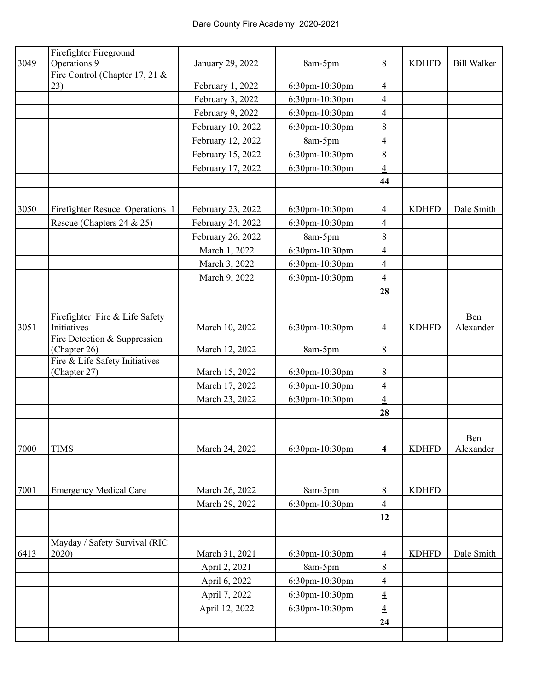|      | Firefighter Fireground                         |                   |                |                          |              |                    |
|------|------------------------------------------------|-------------------|----------------|--------------------------|--------------|--------------------|
| 3049 | Operations 9                                   | January 29, 2022  | 8am-5pm        | 8                        | <b>KDHFD</b> | <b>Bill Walker</b> |
|      | Fire Control (Chapter 17, 21 $&$               |                   |                |                          |              |                    |
|      | 23)                                            | February 1, 2022  | 6:30pm-10:30pm | $\overline{4}$           |              |                    |
|      |                                                | February 3, 2022  | 6:30pm-10:30pm | $\overline{4}$           |              |                    |
|      |                                                | February 9, 2022  | 6:30pm-10:30pm | $\overline{4}$           |              |                    |
|      |                                                | February 10, 2022 | 6:30pm-10:30pm | 8                        |              |                    |
|      |                                                | February 12, 2022 | 8am-5pm        | $\overline{4}$           |              |                    |
|      |                                                | February 15, 2022 | 6:30pm-10:30pm | 8                        |              |                    |
|      |                                                | February 17, 2022 | 6:30pm-10:30pm | $\overline{4}$           |              |                    |
|      |                                                |                   |                | 44                       |              |                    |
|      |                                                |                   |                |                          |              |                    |
| 3050 | Firefighter Resuce Operations 1                | February 23, 2022 | 6:30pm-10:30pm | $\overline{4}$           | <b>KDHFD</b> | Dale Smith         |
|      | Rescue (Chapters 24 & 25)                      | February 24, 2022 | 6:30pm-10:30pm | $\overline{4}$           |              |                    |
|      |                                                | February 26, 2022 | 8am-5pm        | $8\,$                    |              |                    |
|      |                                                | March 1, 2022     | 6:30pm-10:30pm | $\overline{4}$           |              |                    |
|      |                                                | March 3, 2022     | 6:30pm-10:30pm | $\overline{\mathcal{A}}$ |              |                    |
|      |                                                | March 9, 2022     | 6:30pm-10:30pm | $\overline{4}$           |              |                    |
|      |                                                |                   |                | 28                       |              |                    |
|      |                                                |                   |                |                          |              |                    |
|      | Firefighter Fire & Life Safety                 |                   |                |                          |              | Ben                |
| 3051 | Initiatives                                    | March 10, 2022    | 6:30pm-10:30pm | 4                        | <b>KDHFD</b> | Alexander          |
|      | Fire Detection & Suppression                   |                   |                |                          |              |                    |
|      | (Chapter 26)                                   | March 12, 2022    | 8am-5pm        | 8                        |              |                    |
|      | Fire & Life Safety Initiatives<br>(Chapter 27) | March 15, 2022    | 6:30pm-10:30pm | 8                        |              |                    |
|      |                                                | March 17, 2022    | 6:30pm-10:30pm | $\overline{4}$           |              |                    |
|      |                                                | March 23, 2022    | 6:30pm-10:30pm | $\overline{4}$           |              |                    |
|      |                                                |                   |                |                          |              |                    |
|      |                                                |                   |                | 28                       |              |                    |
|      |                                                |                   |                |                          |              | Ben                |
| 7000 | <b>TIMS</b>                                    | March 24, 2022    | 6:30pm-10:30pm | $\overline{\mathbf{4}}$  | <b>KDHFD</b> | Alexander          |
|      |                                                |                   |                |                          |              |                    |
|      |                                                |                   |                |                          |              |                    |
| 7001 | <b>Emergency Medical Care</b>                  | March 26, 2022    | 8am-5pm        | $\,8\,$                  | <b>KDHFD</b> |                    |
|      |                                                | March 29, 2022    | 6:30pm-10:30pm | $\overline{4}$           |              |                    |
|      |                                                |                   |                | 12                       |              |                    |
|      |                                                |                   |                |                          |              |                    |
|      | Mayday / Safety Survival (RIC                  |                   |                |                          |              |                    |
| 6413 | 2020)                                          | March 31, 2021    | 6:30pm-10:30pm | $\overline{4}$           | <b>KDHFD</b> | Dale Smith         |
|      |                                                | April 2, 2021     | 8am-5pm        | $\,8\,$                  |              |                    |
|      |                                                | April 6, 2022     | 6:30pm-10:30pm | $\overline{\mathcal{A}}$ |              |                    |
|      |                                                | April 7, 2022     | 6:30pm-10:30pm | $\overline{4}$           |              |                    |
|      |                                                | April 12, 2022    | 6:30pm-10:30pm | $\overline{4}$           |              |                    |
|      |                                                |                   |                | 24                       |              |                    |
|      |                                                |                   |                |                          |              |                    |
|      |                                                |                   |                |                          |              |                    |